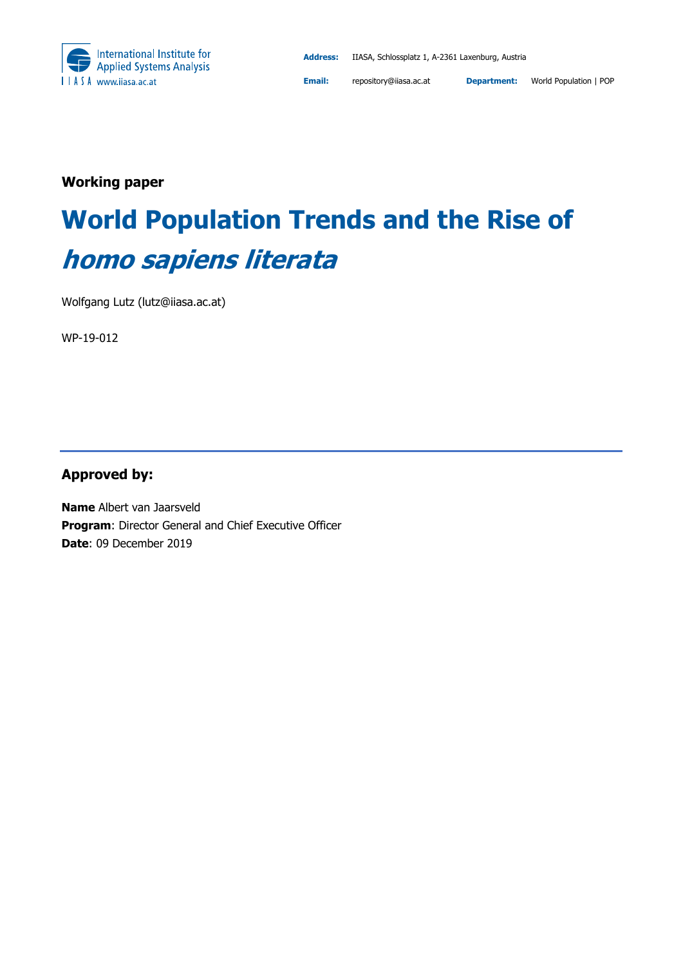

**Email:** repository@iiasa.ac.at **Department:** World Population | POP

**Working paper** 

# **World Population Trends and the Rise of homo sapiens literata**

Wolfgang Lutz (lutz@iiasa.ac.at)

WP-19-012

### **Approved by:**

**Name** Albert van Jaarsveld **Program**: Director General and Chief Executive Officer **Date**: 09 December 2019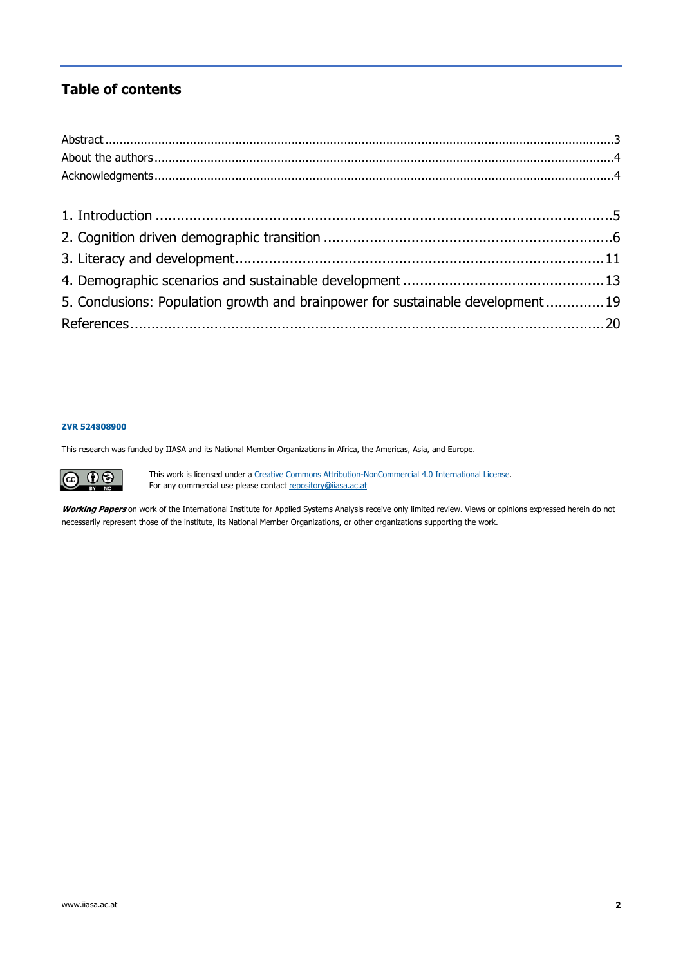### **Table of contents**

| 5. Conclusions: Population growth and brainpower for sustainable development19 |  |
|--------------------------------------------------------------------------------|--|
|                                                                                |  |
|                                                                                |  |

#### **ZVR 524808900**

This research was funded by IIASA and its National Member Organizations in Africa, the Americas, Asia, and Europe.

This work is licensed under a Creative Commons Attribution-NonCommercial 4.0 International License.  $\circledcirc$   $\circledcirc$ For any commercial use please contact repository@iiasa.ac.at

Working Papers on work of the International Institute for Applied Systems Analysis receive only limited review. Views or opinions expressed herein do not necessarily represent those of the institute, its National Member Organizations, or other organizations supporting the work.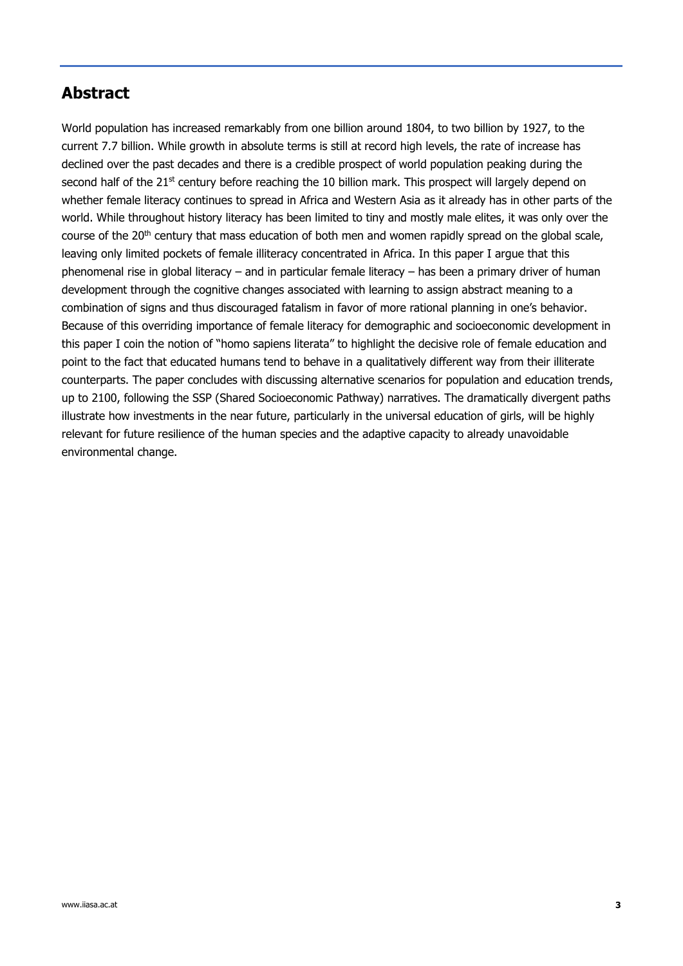### **Abstract**

World population has increased remarkably from one billion around 1804, to two billion by 1927, to the current 7.7 billion. While growth in absolute terms is still at record high levels, the rate of increase has declined over the past decades and there is a credible prospect of world population peaking during the second half of the 21<sup>st</sup> century before reaching the 10 billion mark. This prospect will largely depend on whether female literacy continues to spread in Africa and Western Asia as it already has in other parts of the world. While throughout history literacy has been limited to tiny and mostly male elites, it was only over the course of the 20<sup>th</sup> century that mass education of both men and women rapidly spread on the global scale, leaving only limited pockets of female illiteracy concentrated in Africa. In this paper I argue that this phenomenal rise in global literacy – and in particular female literacy – has been a primary driver of human development through the cognitive changes associated with learning to assign abstract meaning to a combination of signs and thus discouraged fatalism in favor of more rational planning in one's behavior. Because of this overriding importance of female literacy for demographic and socioeconomic development in this paper I coin the notion of "homo sapiens literata" to highlight the decisive role of female education and point to the fact that educated humans tend to behave in a qualitatively different way from their illiterate counterparts. The paper concludes with discussing alternative scenarios for population and education trends, up to 2100, following the SSP (Shared Socioeconomic Pathway) narratives. The dramatically divergent paths illustrate how investments in the near future, particularly in the universal education of girls, will be highly relevant for future resilience of the human species and the adaptive capacity to already unavoidable environmental change.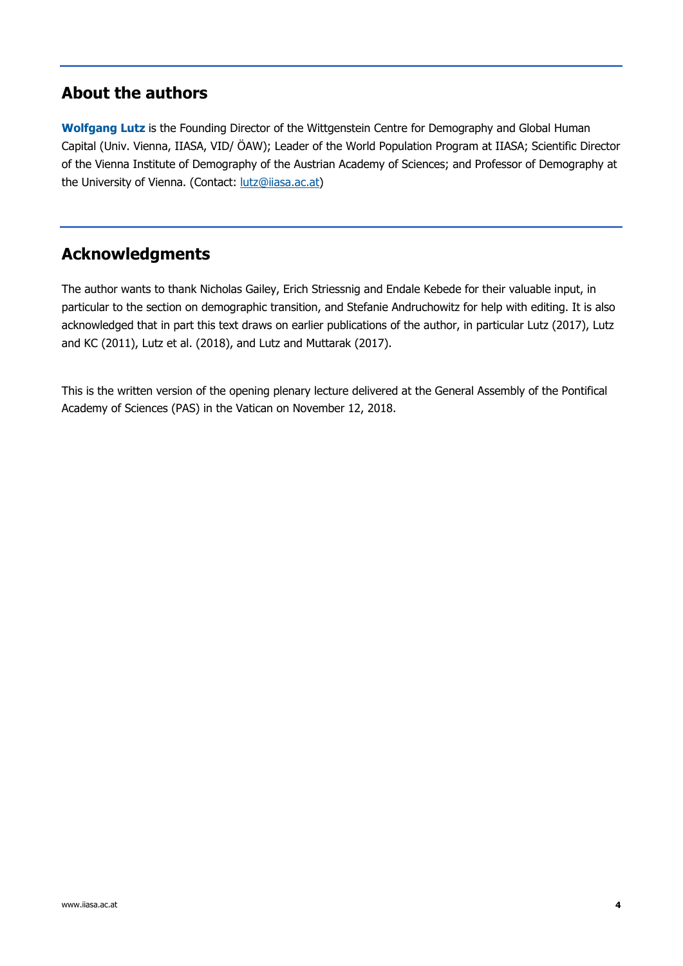### **About the authors**

**Wolfgang Lutz** is the Founding Director of the Wittgenstein Centre for Demography and Global Human Capital (Univ. Vienna, IIASA, VID/ ÖAW); Leader of the World Population Program at IIASA; Scientific Director of the Vienna Institute of Demography of the Austrian Academy of Sciences; and Professor of Demography at the University of Vienna. (Contact: lutz@iiasa.ac.at)

### **Acknowledgments**

The author wants to thank Nicholas Gailey, Erich Striessnig and Endale Kebede for their valuable input, in particular to the section on demographic transition, and Stefanie Andruchowitz for help with editing. It is also acknowledged that in part this text draws on earlier publications of the author, in particular Lutz (2017), Lutz and KC (2011), Lutz et al. (2018), and Lutz and Muttarak (2017).

This is the written version of the opening plenary lecture delivered at the General Assembly of the Pontifical Academy of Sciences (PAS) in the Vatican on November 12, 2018.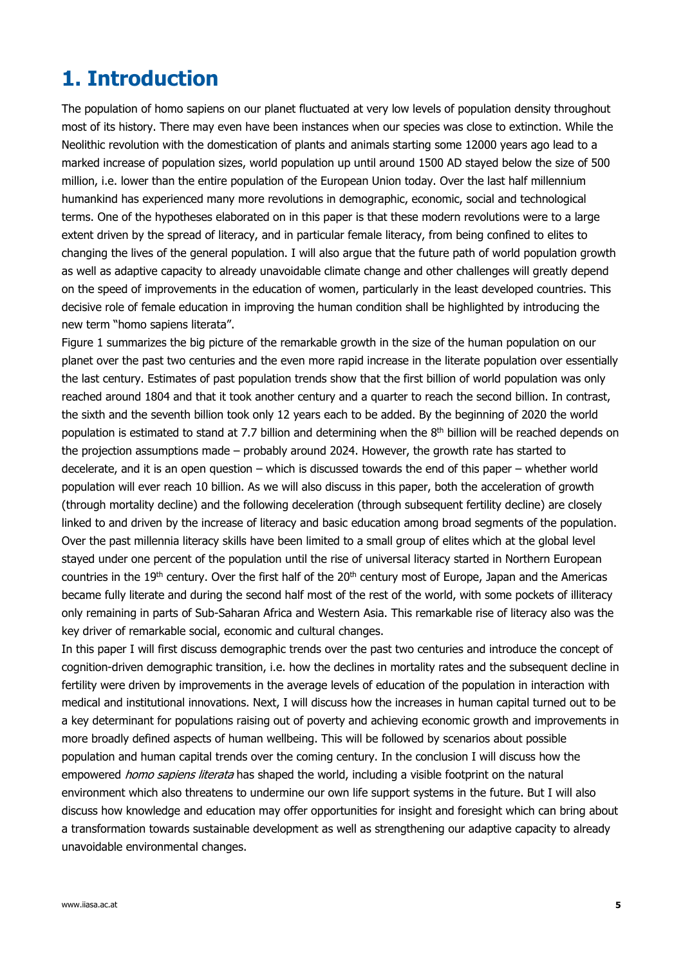# **1. Introduction**

The population of homo sapiens on our planet fluctuated at very low levels of population density throughout most of its history. There may even have been instances when our species was close to extinction. While the Neolithic revolution with the domestication of plants and animals starting some 12000 years ago lead to a marked increase of population sizes, world population up until around 1500 AD stayed below the size of 500 million, i.e. lower than the entire population of the European Union today. Over the last half millennium humankind has experienced many more revolutions in demographic, economic, social and technological terms. One of the hypotheses elaborated on in this paper is that these modern revolutions were to a large extent driven by the spread of literacy, and in particular female literacy, from being confined to elites to changing the lives of the general population. I will also argue that the future path of world population growth as well as adaptive capacity to already unavoidable climate change and other challenges will greatly depend on the speed of improvements in the education of women, particularly in the least developed countries. This decisive role of female education in improving the human condition shall be highlighted by introducing the new term "homo sapiens literata".

Figure 1 summarizes the big picture of the remarkable growth in the size of the human population on our planet over the past two centuries and the even more rapid increase in the literate population over essentially the last century. Estimates of past population trends show that the first billion of world population was only reached around 1804 and that it took another century and a quarter to reach the second billion. In contrast, the sixth and the seventh billion took only 12 years each to be added. By the beginning of 2020 the world population is estimated to stand at 7.7 billion and determining when the 8<sup>th</sup> billion will be reached depends on the projection assumptions made – probably around 2024. However, the growth rate has started to decelerate, and it is an open question – which is discussed towards the end of this paper – whether world population will ever reach 10 billion. As we will also discuss in this paper, both the acceleration of growth (through mortality decline) and the following deceleration (through subsequent fertility decline) are closely linked to and driven by the increase of literacy and basic education among broad segments of the population. Over the past millennia literacy skills have been limited to a small group of elites which at the global level stayed under one percent of the population until the rise of universal literacy started in Northern European countries in the 19<sup>th</sup> century. Over the first half of the 20<sup>th</sup> century most of Europe, Japan and the Americas became fully literate and during the second half most of the rest of the world, with some pockets of illiteracy only remaining in parts of Sub-Saharan Africa and Western Asia. This remarkable rise of literacy also was the key driver of remarkable social, economic and cultural changes.

In this paper I will first discuss demographic trends over the past two centuries and introduce the concept of cognition-driven demographic transition, i.e. how the declines in mortality rates and the subsequent decline in fertility were driven by improvements in the average levels of education of the population in interaction with medical and institutional innovations. Next, I will discuss how the increases in human capital turned out to be a key determinant for populations raising out of poverty and achieving economic growth and improvements in more broadly defined aspects of human wellbeing. This will be followed by scenarios about possible population and human capital trends over the coming century. In the conclusion I will discuss how the empowered *homo sapiens literata* has shaped the world, including a visible footprint on the natural environment which also threatens to undermine our own life support systems in the future. But I will also discuss how knowledge and education may offer opportunities for insight and foresight which can bring about a transformation towards sustainable development as well as strengthening our adaptive capacity to already unavoidable environmental changes.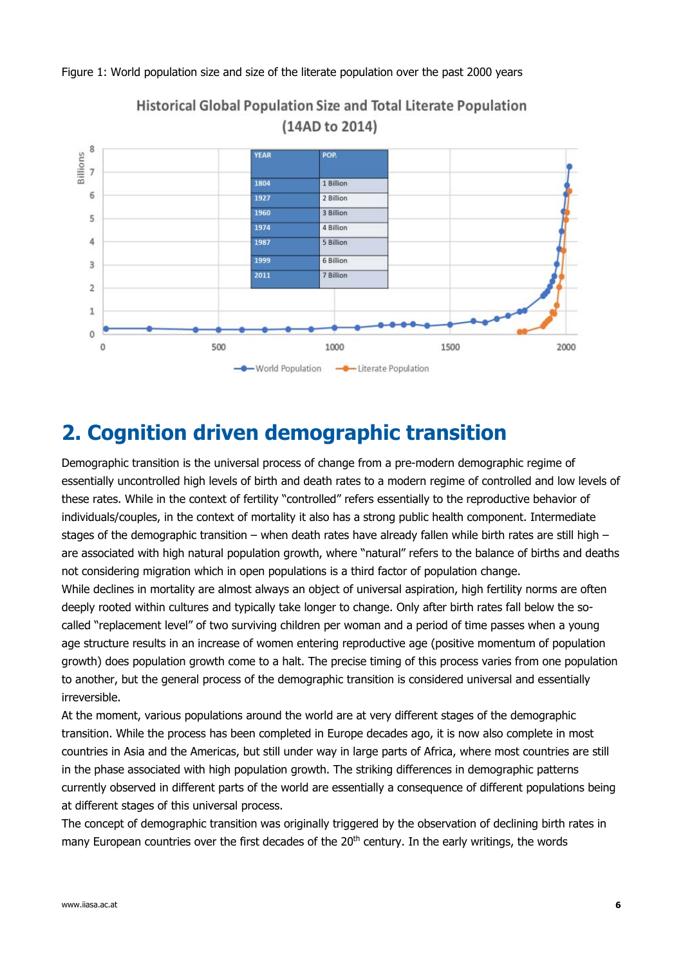

#### Figure 1: World population size and size of the literate population over the past 2000 years

**Historical Global Population Size and Total Literate Population** (14AD to 2014)

# **2. Cognition driven demographic transition**

Demographic transition is the universal process of change from a pre-modern demographic regime of essentially uncontrolled high levels of birth and death rates to a modern regime of controlled and low levels of these rates. While in the context of fertility "controlled" refers essentially to the reproductive behavior of individuals/couples, in the context of mortality it also has a strong public health component. Intermediate stages of the demographic transition – when death rates have already fallen while birth rates are still high – are associated with high natural population growth, where "natural" refers to the balance of births and deaths not considering migration which in open populations is a third factor of population change.

While declines in mortality are almost always an object of universal aspiration, high fertility norms are often deeply rooted within cultures and typically take longer to change. Only after birth rates fall below the socalled "replacement level" of two surviving children per woman and a period of time passes when a young age structure results in an increase of women entering reproductive age (positive momentum of population growth) does population growth come to a halt. The precise timing of this process varies from one population to another, but the general process of the demographic transition is considered universal and essentially irreversible.

At the moment, various populations around the world are at very different stages of the demographic transition. While the process has been completed in Europe decades ago, it is now also complete in most countries in Asia and the Americas, but still under way in large parts of Africa, where most countries are still in the phase associated with high population growth. The striking differences in demographic patterns currently observed in different parts of the world are essentially a consequence of different populations being at different stages of this universal process.

The concept of demographic transition was originally triggered by the observation of declining birth rates in many European countries over the first decades of the  $20<sup>th</sup>$  century. In the early writings, the words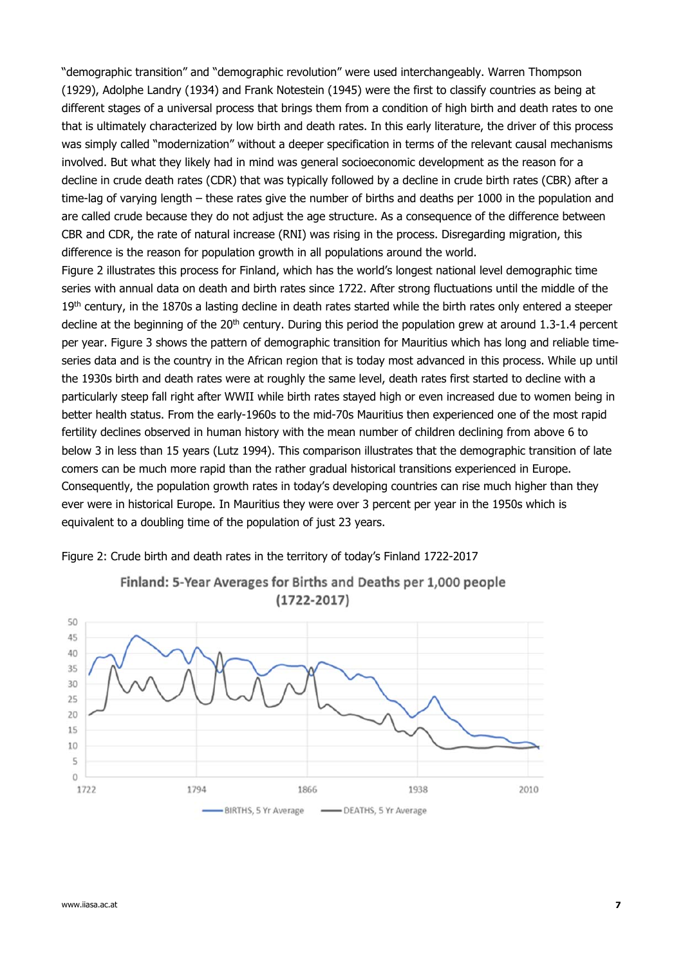"demographic transition" and "demographic revolution" were used interchangeably. Warren Thompson (1929), Adolphe Landry (1934) and Frank Notestein (1945) were the first to classify countries as being at different stages of a universal process that brings them from a condition of high birth and death rates to one that is ultimately characterized by low birth and death rates. In this early literature, the driver of this process was simply called "modernization" without a deeper specification in terms of the relevant causal mechanisms involved. But what they likely had in mind was general socioeconomic development as the reason for a decline in crude death rates (CDR) that was typically followed by a decline in crude birth rates (CBR) after a time-lag of varying length – these rates give the number of births and deaths per 1000 in the population and are called crude because they do not adjust the age structure. As a consequence of the difference between CBR and CDR, the rate of natural increase (RNI) was rising in the process. Disregarding migration, this difference is the reason for population growth in all populations around the world.

Figure 2 illustrates this process for Finland, which has the world's longest national level demographic time series with annual data on death and birth rates since 1722. After strong fluctuations until the middle of the 19<sup>th</sup> century, in the 1870s a lasting decline in death rates started while the birth rates only entered a steeper decline at the beginning of the 20<sup>th</sup> century. During this period the population grew at around 1.3-1.4 percent per year. Figure 3 shows the pattern of demographic transition for Mauritius which has long and reliable timeseries data and is the country in the African region that is today most advanced in this process. While up until the 1930s birth and death rates were at roughly the same level, death rates first started to decline with a particularly steep fall right after WWII while birth rates stayed high or even increased due to women being in better health status. From the early-1960s to the mid-70s Mauritius then experienced one of the most rapid fertility declines observed in human history with the mean number of children declining from above 6 to below 3 in less than 15 years (Lutz 1994). This comparison illustrates that the demographic transition of late comers can be much more rapid than the rather gradual historical transitions experienced in Europe. Consequently, the population growth rates in today's developing countries can rise much higher than they ever were in historical Europe. In Mauritius they were over 3 percent per year in the 1950s which is equivalent to a doubling time of the population of just 23 years.



Finland: 5-Year Averages for Births and Deaths per 1,000 people  $(1722 - 2017)$ 

Figure 2: Crude birth and death rates in the territory of today's Finland 1722-2017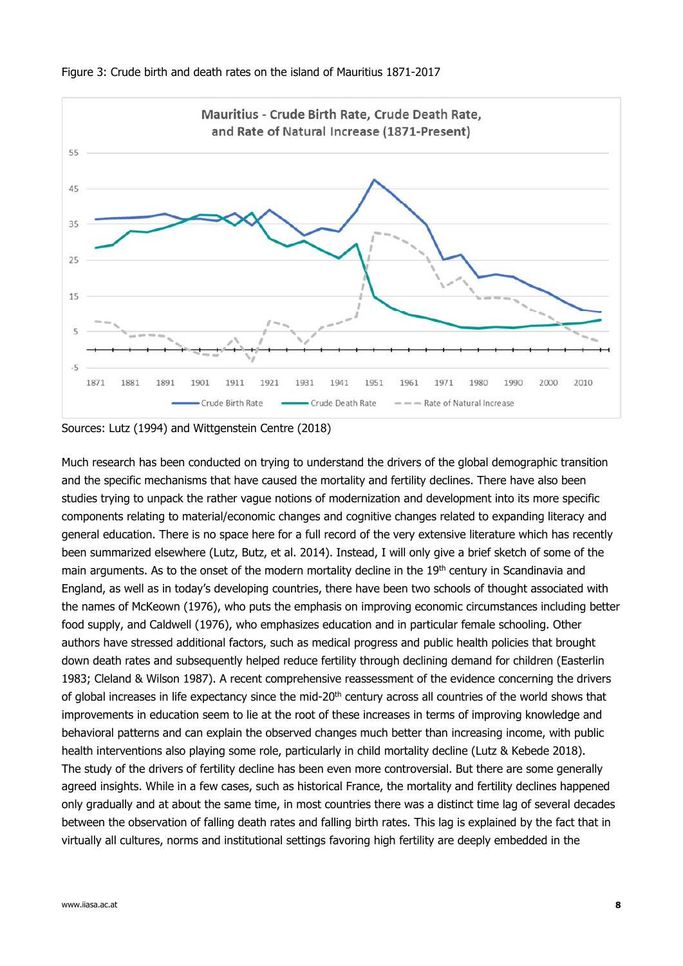

Figure 3: Crude birth and death rates on the island of Mauritius 1871-2017

Sources: Lutz (1994) and Wittgenstein Centre (2018)

Much research has been conducted on trying to understand the drivers of the global demographic transition and the specific mechanisms that have caused the mortality and fertility declines. There have also been studies trying to unpack the rather vague notions of modernization and development into its more specific components relating to material/economic changes and cognitive changes related to expanding literacy and general education. There is no space here for a full record of the very extensive literature which has recently been summarized elsewhere (Lutz, Butz, et al. 2014). Instead, I will only give a brief sketch of some of the main arguments. As to the onset of the modern mortality decline in the 19<sup>th</sup> century in Scandinavia and England, as well as in today's developing countries, there have been two schools of thought associated with the names of McKeown (1976), who puts the emphasis on improving economic circumstances including better food supply, and Caldwell (1976), who emphasizes education and in particular female schooling. Other authors have stressed additional factors, such as medical progress and public health policies that brought down death rates and subsequently helped reduce fertility through declining demand for children (Easterlin 1983; Cleland & Wilson 1987). A recent comprehensive reassessment of the evidence concerning the drivers of global increases in life expectancy since the mid-20<sup>th</sup> century across all countries of the world shows that improvements in education seem to lie at the root of these increases in terms of improving knowledge and behavioral patterns and can explain the observed changes much better than increasing income, with public health interventions also playing some role, particularly in child mortality decline (Lutz & Kebede 2018). The study of the drivers of fertility decline has been even more controversial. But there are some generally agreed insights. While in a few cases, such as historical France, the mortality and fertility declines happened only gradually and at about the same time, in most countries there was a distinct time lag of several decades between the observation of falling death rates and falling birth rates. This lag is explained by the fact that in virtually all cultures, norms and institutional settings favoring high fertility are deeply embedded in the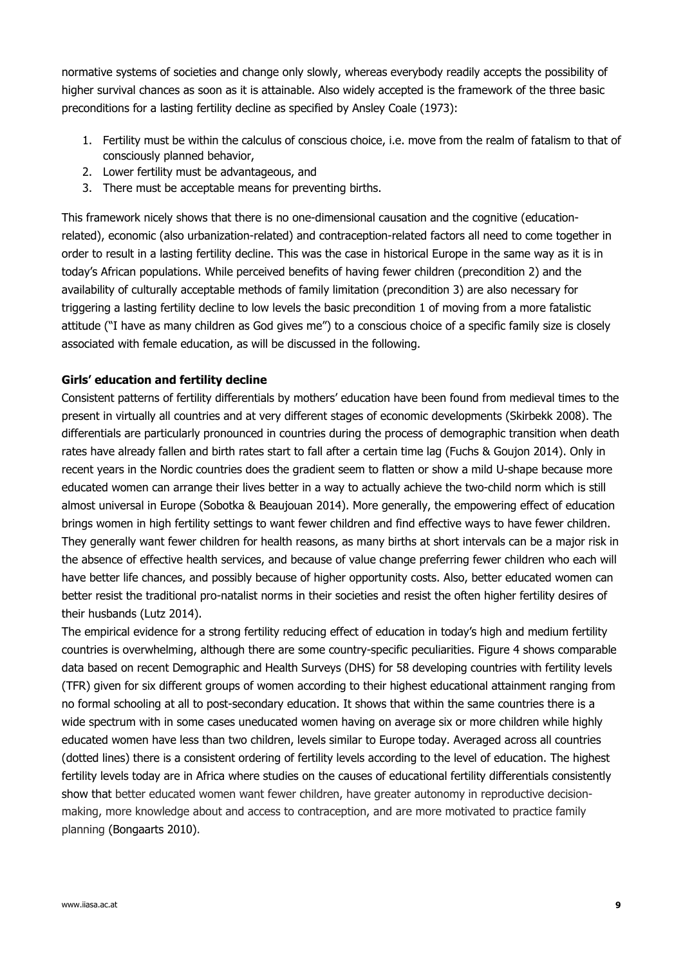normative systems of societies and change only slowly, whereas everybody readily accepts the possibility of higher survival chances as soon as it is attainable. Also widely accepted is the framework of the three basic preconditions for a lasting fertility decline as specified by Ansley Coale (1973):

- 1. Fertility must be within the calculus of conscious choice, i.e. move from the realm of fatalism to that of consciously planned behavior,
- 2. Lower fertility must be advantageous, and
- 3. There must be acceptable means for preventing births.

This framework nicely shows that there is no one-dimensional causation and the cognitive (educationrelated), economic (also urbanization-related) and contraception-related factors all need to come together in order to result in a lasting fertility decline. This was the case in historical Europe in the same way as it is in today's African populations. While perceived benefits of having fewer children (precondition 2) and the availability of culturally acceptable methods of family limitation (precondition 3) are also necessary for triggering a lasting fertility decline to low levels the basic precondition 1 of moving from a more fatalistic attitude ("I have as many children as God gives me") to a conscious choice of a specific family size is closely associated with female education, as will be discussed in the following.

#### **Girls' education and fertility decline**

Consistent patterns of fertility differentials by mothers' education have been found from medieval times to the present in virtually all countries and at very different stages of economic developments (Skirbekk 2008). The differentials are particularly pronounced in countries during the process of demographic transition when death rates have already fallen and birth rates start to fall after a certain time lag (Fuchs & Goujon 2014). Only in recent years in the Nordic countries does the gradient seem to flatten or show a mild U-shape because more educated women can arrange their lives better in a way to actually achieve the two-child norm which is still almost universal in Europe (Sobotka & Beaujouan 2014). More generally, the empowering effect of education brings women in high fertility settings to want fewer children and find effective ways to have fewer children. They generally want fewer children for health reasons, as many births at short intervals can be a major risk in the absence of effective health services, and because of value change preferring fewer children who each will have better life chances, and possibly because of higher opportunity costs. Also, better educated women can better resist the traditional pro-natalist norms in their societies and resist the often higher fertility desires of their husbands (Lutz 2014).

The empirical evidence for a strong fertility reducing effect of education in today's high and medium fertility countries is overwhelming, although there are some country-specific peculiarities. Figure 4 shows comparable data based on recent Demographic and Health Surveys (DHS) for 58 developing countries with fertility levels (TFR) given for six different groups of women according to their highest educational attainment ranging from no formal schooling at all to post-secondary education. It shows that within the same countries there is a wide spectrum with in some cases uneducated women having on average six or more children while highly educated women have less than two children, levels similar to Europe today. Averaged across all countries (dotted lines) there is a consistent ordering of fertility levels according to the level of education. The highest fertility levels today are in Africa where studies on the causes of educational fertility differentials consistently show that better educated women want fewer children, have greater autonomy in reproductive decisionmaking, more knowledge about and access to contraception, and are more motivated to practice family planning (Bongaarts 2010).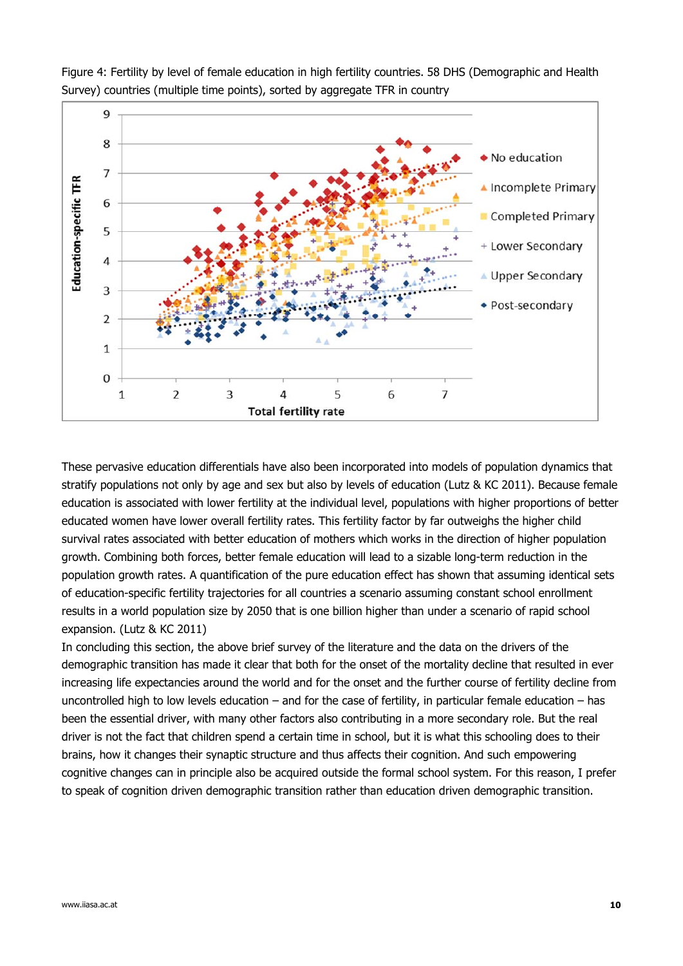

Figure 4: Fertility by level of female education in high fertility countries. 58 DHS (Demographic and Health Survey) countries (multiple time points), sorted by aggregate TFR in country

These pervasive education differentials have also been incorporated into models of population dynamics that stratify populations not only by age and sex but also by levels of education (Lutz & KC 2011). Because female education is associated with lower fertility at the individual level, populations with higher proportions of better educated women have lower overall fertility rates. This fertility factor by far outweighs the higher child survival rates associated with better education of mothers which works in the direction of higher population growth. Combining both forces, better female education will lead to a sizable long-term reduction in the population growth rates. A quantification of the pure education effect has shown that assuming identical sets of education-specific fertility trajectories for all countries a scenario assuming constant school enrollment results in a world population size by 2050 that is one billion higher than under a scenario of rapid school expansion. (Lutz & KC 2011)

In concluding this section, the above brief survey of the literature and the data on the drivers of the demographic transition has made it clear that both for the onset of the mortality decline that resulted in ever increasing life expectancies around the world and for the onset and the further course of fertility decline from uncontrolled high to low levels education – and for the case of fertility, in particular female education – has been the essential driver, with many other factors also contributing in a more secondary role. But the real driver is not the fact that children spend a certain time in school, but it is what this schooling does to their brains, how it changes their synaptic structure and thus affects their cognition. And such empowering cognitive changes can in principle also be acquired outside the formal school system. For this reason, I prefer to speak of cognition driven demographic transition rather than education driven demographic transition.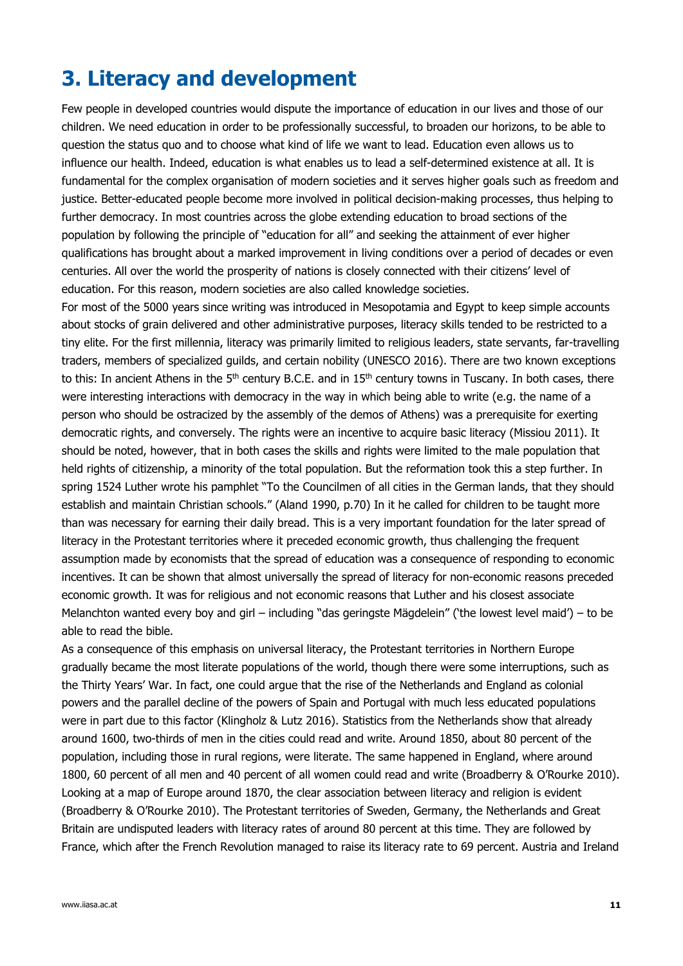# **3. Literacy and development**

Few people in developed countries would dispute the importance of education in our lives and those of our children. We need education in order to be professionally successful, to broaden our horizons, to be able to question the status quo and to choose what kind of life we want to lead. Education even allows us to influence our health. Indeed, education is what enables us to lead a self-determined existence at all. It is fundamental for the complex organisation of modern societies and it serves higher goals such as freedom and justice. Better-educated people become more involved in political decision-making processes, thus helping to further democracy. In most countries across the globe extending education to broad sections of the population by following the principle of "education for all" and seeking the attainment of ever higher qualifications has brought about a marked improvement in living conditions over a period of decades or even centuries. All over the world the prosperity of nations is closely connected with their citizens' level of education. For this reason, modern societies are also called knowledge societies.

For most of the 5000 years since writing was introduced in Mesopotamia and Egypt to keep simple accounts about stocks of grain delivered and other administrative purposes, literacy skills tended to be restricted to a tiny elite. For the first millennia, literacy was primarily limited to religious leaders, state servants, far-travelling traders, members of specialized guilds, and certain nobility (UNESCO 2016). There are two known exceptions to this: In ancient Athens in the  $5<sup>th</sup>$  century B.C.E. and in  $15<sup>th</sup>$  century towns in Tuscany. In both cases, there were interesting interactions with democracy in the way in which being able to write (e.g. the name of a person who should be ostracized by the assembly of the demos of Athens) was a prerequisite for exerting democratic rights, and conversely. The rights were an incentive to acquire basic literacy (Missiou 2011). It should be noted, however, that in both cases the skills and rights were limited to the male population that held rights of citizenship, a minority of the total population. But the reformation took this a step further. In spring 1524 Luther wrote his pamphlet "To the Councilmen of all cities in the German lands, that they should establish and maintain Christian schools." (Aland 1990, p.70) In it he called for children to be taught more than was necessary for earning their daily bread. This is a very important foundation for the later spread of literacy in the Protestant territories where it preceded economic growth, thus challenging the frequent assumption made by economists that the spread of education was a consequence of responding to economic incentives. It can be shown that almost universally the spread of literacy for non-economic reasons preceded economic growth. It was for religious and not economic reasons that Luther and his closest associate Melanchton wanted every boy and girl – including "das geringste Mägdelein" ('the lowest level maid') – to be able to read the bible.

As a consequence of this emphasis on universal literacy, the Protestant territories in Northern Europe gradually became the most literate populations of the world, though there were some interruptions, such as the Thirty Years' War. In fact, one could argue that the rise of the Netherlands and England as colonial powers and the parallel decline of the powers of Spain and Portugal with much less educated populations were in part due to this factor (Klingholz & Lutz 2016). Statistics from the Netherlands show that already around 1600, two-thirds of men in the cities could read and write. Around 1850, about 80 percent of the population, including those in rural regions, were literate. The same happened in England, where around 1800, 60 percent of all men and 40 percent of all women could read and write (Broadberry & O'Rourke 2010). Looking at a map of Europe around 1870, the clear association between literacy and religion is evident (Broadberry & O'Rourke 2010). The Protestant territories of Sweden, Germany, the Netherlands and Great Britain are undisputed leaders with literacy rates of around 80 percent at this time. They are followed by France, which after the French Revolution managed to raise its literacy rate to 69 percent. Austria and Ireland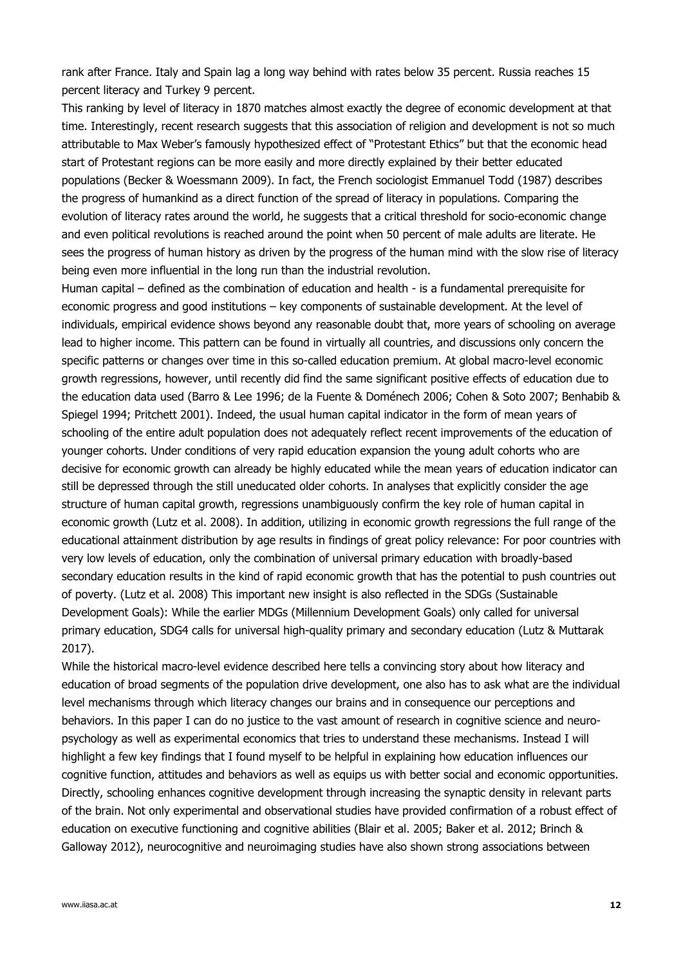rank after France. Italy and Spain lag a long way behind with rates below 35 percent. Russia reaches 15 percent literacy and Turkey 9 percent.

This ranking by level of literacy in 1870 matches almost exactly the degree of economic development at that time. Interestingly, recent research suggests that this association of religion and development is not so much attributable to Max Weber's famously hypothesized effect of "Protestant Ethics" but that the economic head start of Protestant regions can be more easily and more directly explained by their better educated populations (Becker & Woessmann 2009). In fact, the French sociologist Emmanuel Todd (1987) describes the progress of humankind as a direct function of the spread of literacy in populations. Comparing the evolution of literacy rates around the world, he suggests that a critical threshold for socio-economic change and even political revolutions is reached around the point when 50 percent of male adults are literate. He sees the progress of human history as driven by the progress of the human mind with the slow rise of literacy being even more influential in the long run than the industrial revolution.

Human capital – defined as the combination of education and health - is a fundamental prerequisite for economic progress and good institutions – key components of sustainable development. At the level of individuals, empirical evidence shows beyond any reasonable doubt that, more years of schooling on average lead to higher income. This pattern can be found in virtually all countries, and discussions only concern the specific patterns or changes over time in this so-called education premium. At global macro-level economic growth regressions, however, until recently did find the same significant positive effects of education due to the education data used (Barro & Lee 1996; de la Fuente & Doménech 2006; Cohen & Soto 2007; Benhabib & Spiegel 1994; Pritchett 2001). Indeed, the usual human capital indicator in the form of mean years of schooling of the entire adult population does not adequately reflect recent improvements of the education of younger cohorts. Under conditions of very rapid education expansion the young adult cohorts who are decisive for economic growth can already be highly educated while the mean years of education indicator can still be depressed through the still uneducated older cohorts. In analyses that explicitly consider the age structure of human capital growth, regressions unambiguously confirm the key role of human capital in economic growth (Lutz et al. 2008). In addition, utilizing in economic growth regressions the full range of the educational attainment distribution by age results in findings of great policy relevance: For poor countries with very low levels of education, only the combination of universal primary education with broadly-based secondary education results in the kind of rapid economic growth that has the potential to push countries out of poverty. (Lutz et al. 2008) This important new insight is also reflected in the SDGs (Sustainable Development Goals): While the earlier MDGs (Millennium Development Goals) only called for universal primary education, SDG4 calls for universal high-quality primary and secondary education (Lutz & Muttarak 2017).

While the historical macro-level evidence described here tells a convincing story about how literacy and education of broad segments of the population drive development, one also has to ask what are the individual level mechanisms through which literacy changes our brains and in consequence our perceptions and behaviors. In this paper I can do no justice to the vast amount of research in cognitive science and neuropsychology as well as experimental economics that tries to understand these mechanisms. Instead I will highlight a few key findings that I found myself to be helpful in explaining how education influences our cognitive function, attitudes and behaviors as well as equips us with better social and economic opportunities. Directly, schooling enhances cognitive development through increasing the synaptic density in relevant parts of the brain. Not only experimental and observational studies have provided confirmation of a robust effect of education on executive functioning and cognitive abilities (Blair et al. 2005; Baker et al. 2012; Brinch & Galloway 2012), neurocognitive and neuroimaging studies have also shown strong associations between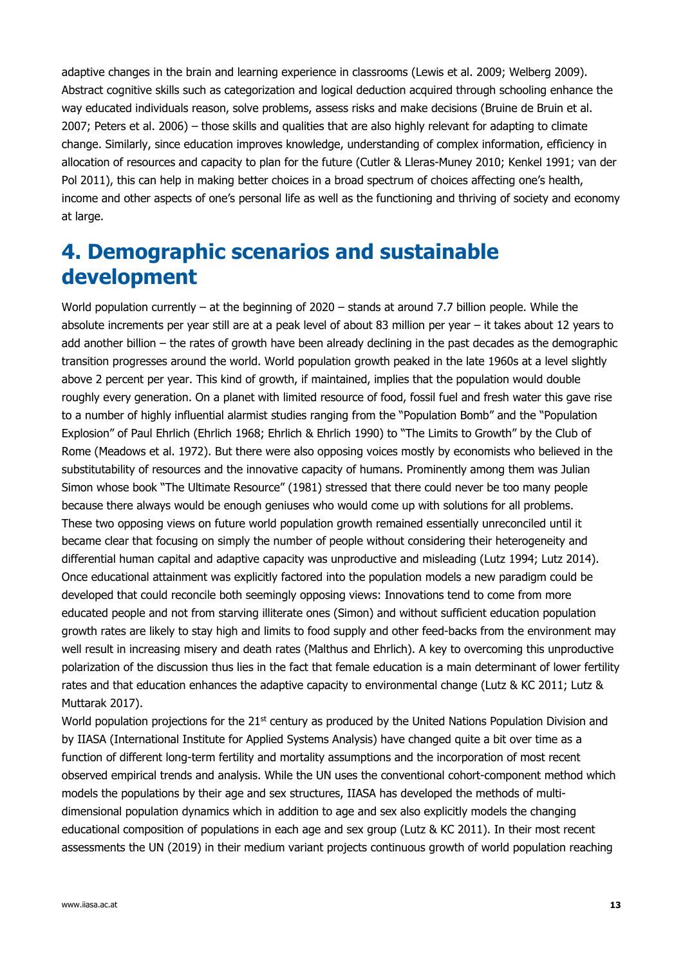adaptive changes in the brain and learning experience in classrooms (Lewis et al. 2009; Welberg 2009). Abstract cognitive skills such as categorization and logical deduction acquired through schooling enhance the way educated individuals reason, solve problems, assess risks and make decisions (Bruine de Bruin et al. 2007; Peters et al. 2006) – those skills and qualities that are also highly relevant for adapting to climate change. Similarly, since education improves knowledge, understanding of complex information, efficiency in allocation of resources and capacity to plan for the future (Cutler & Lleras-Muney 2010; Kenkel 1991; van der Pol 2011), this can help in making better choices in a broad spectrum of choices affecting one's health, income and other aspects of one's personal life as well as the functioning and thriving of society and economy at large.

# **4. Demographic scenarios and sustainable development**

World population currently – at the beginning of 2020 – stands at around 7.7 billion people. While the absolute increments per year still are at a peak level of about 83 million per year – it takes about 12 years to add another billion – the rates of growth have been already declining in the past decades as the demographic transition progresses around the world. World population growth peaked in the late 1960s at a level slightly above 2 percent per year. This kind of growth, if maintained, implies that the population would double roughly every generation. On a planet with limited resource of food, fossil fuel and fresh water this gave rise to a number of highly influential alarmist studies ranging from the "Population Bomb" and the "Population Explosion" of Paul Ehrlich (Ehrlich 1968; Ehrlich & Ehrlich 1990) to "The Limits to Growth" by the Club of Rome (Meadows et al. 1972). But there were also opposing voices mostly by economists who believed in the substitutability of resources and the innovative capacity of humans. Prominently among them was Julian Simon whose book "The Ultimate Resource" (1981) stressed that there could never be too many people because there always would be enough geniuses who would come up with solutions for all problems. These two opposing views on future world population growth remained essentially unreconciled until it became clear that focusing on simply the number of people without considering their heterogeneity and differential human capital and adaptive capacity was unproductive and misleading (Lutz 1994; Lutz 2014). Once educational attainment was explicitly factored into the population models a new paradigm could be developed that could reconcile both seemingly opposing views: Innovations tend to come from more educated people and not from starving illiterate ones (Simon) and without sufficient education population growth rates are likely to stay high and limits to food supply and other feed-backs from the environment may well result in increasing misery and death rates (Malthus and Ehrlich). A key to overcoming this unproductive polarization of the discussion thus lies in the fact that female education is a main determinant of lower fertility rates and that education enhances the adaptive capacity to environmental change (Lutz & KC 2011; Lutz & Muttarak 2017).

World population projections for the 21<sup>st</sup> century as produced by the United Nations Population Division and by IIASA (International Institute for Applied Systems Analysis) have changed quite a bit over time as a function of different long-term fertility and mortality assumptions and the incorporation of most recent observed empirical trends and analysis. While the UN uses the conventional cohort-component method which models the populations by their age and sex structures, IIASA has developed the methods of multidimensional population dynamics which in addition to age and sex also explicitly models the changing educational composition of populations in each age and sex group (Lutz & KC 2011). In their most recent assessments the UN (2019) in their medium variant projects continuous growth of world population reaching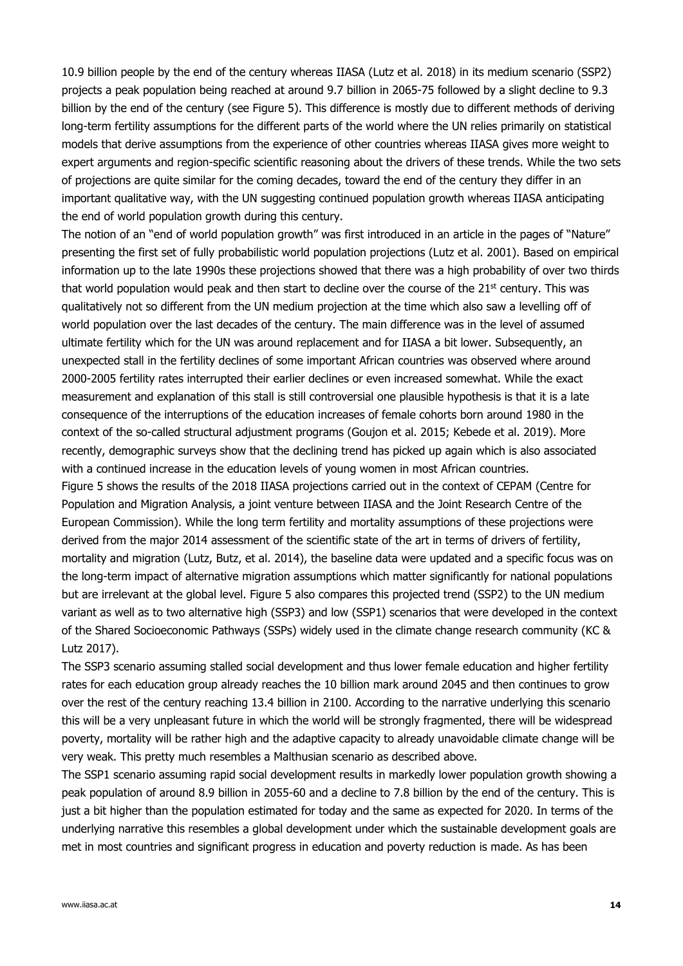10.9 billion people by the end of the century whereas IIASA (Lutz et al. 2018) in its medium scenario (SSP2) projects a peak population being reached at around 9.7 billion in 2065-75 followed by a slight decline to 9.3 billion by the end of the century (see Figure 5). This difference is mostly due to different methods of deriving long-term fertility assumptions for the different parts of the world where the UN relies primarily on statistical models that derive assumptions from the experience of other countries whereas IIASA gives more weight to expert arguments and region-specific scientific reasoning about the drivers of these trends. While the two sets of projections are quite similar for the coming decades, toward the end of the century they differ in an important qualitative way, with the UN suggesting continued population growth whereas IIASA anticipating the end of world population growth during this century.

The notion of an "end of world population growth" was first introduced in an article in the pages of "Nature" presenting the first set of fully probabilistic world population projections (Lutz et al. 2001). Based on empirical information up to the late 1990s these projections showed that there was a high probability of over two thirds that world population would peak and then start to decline over the course of the  $21<sup>st</sup>$  century. This was qualitatively not so different from the UN medium projection at the time which also saw a levelling off of world population over the last decades of the century. The main difference was in the level of assumed ultimate fertility which for the UN was around replacement and for IIASA a bit lower. Subsequently, an unexpected stall in the fertility declines of some important African countries was observed where around 2000-2005 fertility rates interrupted their earlier declines or even increased somewhat. While the exact measurement and explanation of this stall is still controversial one plausible hypothesis is that it is a late consequence of the interruptions of the education increases of female cohorts born around 1980 in the context of the so-called structural adjustment programs (Goujon et al. 2015; Kebede et al. 2019). More recently, demographic surveys show that the declining trend has picked up again which is also associated with a continued increase in the education levels of young women in most African countries. Figure 5 shows the results of the 2018 IIASA projections carried out in the context of CEPAM (Centre for Population and Migration Analysis, a joint venture between IIASA and the Joint Research Centre of the European Commission). While the long term fertility and mortality assumptions of these projections were derived from the major 2014 assessment of the scientific state of the art in terms of drivers of fertility, mortality and migration (Lutz, Butz, et al. 2014), the baseline data were updated and a specific focus was on the long-term impact of alternative migration assumptions which matter significantly for national populations but are irrelevant at the global level. Figure 5 also compares this projected trend (SSP2) to the UN medium variant as well as to two alternative high (SSP3) and low (SSP1) scenarios that were developed in the context of the Shared Socioeconomic Pathways (SSPs) widely used in the climate change research community (KC & Lutz 2017).

The SSP3 scenario assuming stalled social development and thus lower female education and higher fertility rates for each education group already reaches the 10 billion mark around 2045 and then continues to grow over the rest of the century reaching 13.4 billion in 2100. According to the narrative underlying this scenario this will be a very unpleasant future in which the world will be strongly fragmented, there will be widespread poverty, mortality will be rather high and the adaptive capacity to already unavoidable climate change will be very weak. This pretty much resembles a Malthusian scenario as described above.

The SSP1 scenario assuming rapid social development results in markedly lower population growth showing a peak population of around 8.9 billion in 2055-60 and a decline to 7.8 billion by the end of the century. This is just a bit higher than the population estimated for today and the same as expected for 2020. In terms of the underlying narrative this resembles a global development under which the sustainable development goals are met in most countries and significant progress in education and poverty reduction is made. As has been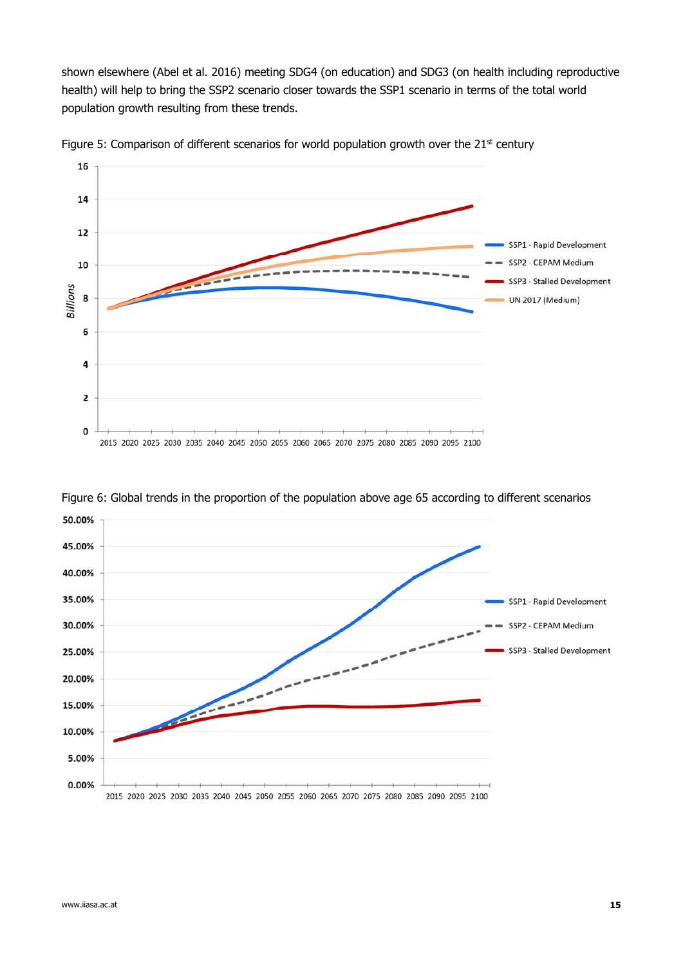shown elsewhere (Abel et al. 2016) meeting SDG4 (on education) and SDG3 (on health including reproductive health) will help to bring the SSP2 scenario closer towards the SSP1 scenario in terms of the total world population growth resulting from these trends.







Figure 6: Global trends in the proportion of the population above age 65 according to different scenarios

50.00%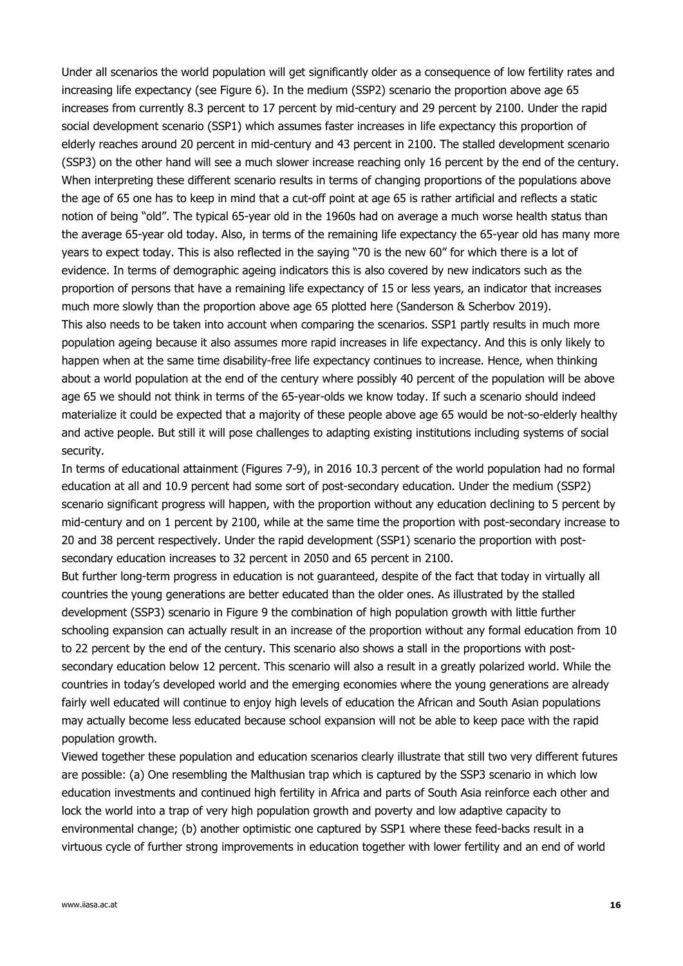Under all scenarios the world population will get significantly older as a consequence of low fertility rates and increasing life expectancy (see Figure 6). In the medium (SSP2) scenario the proportion above age 65 increases from currently 8.3 percent to 17 percent by mid-century and 29 percent by 2100. Under the rapid social development scenario (SSP1) which assumes faster increases in life expectancy this proportion of elderly reaches around 20 percent in mid-century and 43 percent in 2100. The stalled development scenario (SSP3) on the other hand will see a much slower increase reaching only 16 percent by the end of the century. When interpreting these different scenario results in terms of changing proportions of the populations above the age of 65 one has to keep in mind that a cut-off point at age 65 is rather artificial and reflects a static notion of being "old". The typical 65-year old in the 1960s had on average a much worse health status than the average 65-year old today. Also, in terms of the remaining life expectancy the 65-year old has many more years to expect today. This is also reflected in the saying "70 is the new 60" for which there is a lot of evidence. In terms of demographic ageing indicators this is also covered by new indicators such as the proportion of persons that have a remaining life expectancy of 15 or less years, an indicator that increases much more slowly than the proportion above age 65 plotted here (Sanderson & Scherbov 2019). This also needs to be taken into account when comparing the scenarios. SSP1 partly results in much more population ageing because it also assumes more rapid increases in life expectancy. And this is only likely to happen when at the same time disability-free life expectancy continues to increase. Hence, when thinking about a world population at the end of the century where possibly 40 percent of the population will be above age 65 we should not think in terms of the 65-year-olds we know today. If such a scenario should indeed materialize it could be expected that a majority of these people above age 65 would be not-so-elderly healthy and active people. But still it will pose challenges to adapting existing institutions including systems of social security.

In terms of educational attainment (Figures 7-9), in 2016 10.3 percent of the world population had no formal education at all and 10.9 percent had some sort of post-secondary education. Under the medium (SSP2) scenario significant progress will happen, with the proportion without any education declining to 5 percent by mid-century and on 1 percent by 2100, while at the same time the proportion with post-secondary increase to 20 and 38 percent respectively. Under the rapid development (SSP1) scenario the proportion with postsecondary education increases to 32 percent in 2050 and 65 percent in 2100.

But further long-term progress in education is not guaranteed, despite of the fact that today in virtually all countries the young generations are better educated than the older ones. As illustrated by the stalled development (SSP3) scenario in Figure 9 the combination of high population growth with little further schooling expansion can actually result in an increase of the proportion without any formal education from 10 to 22 percent by the end of the century. This scenario also shows a stall in the proportions with postsecondary education below 12 percent. This scenario will also a result in a greatly polarized world. While the countries in today's developed world and the emerging economies where the young generations are already fairly well educated will continue to enjoy high levels of education the African and South Asian populations may actually become less educated because school expansion will not be able to keep pace with the rapid population growth.

Viewed together these population and education scenarios clearly illustrate that still two very different futures are possible: (a) One resembling the Malthusian trap which is captured by the SSP3 scenario in which low education investments and continued high fertility in Africa and parts of South Asia reinforce each other and lock the world into a trap of very high population growth and poverty and low adaptive capacity to environmental change; (b) another optimistic one captured by SSP1 where these feed-backs result in a virtuous cycle of further strong improvements in education together with lower fertility and an end of world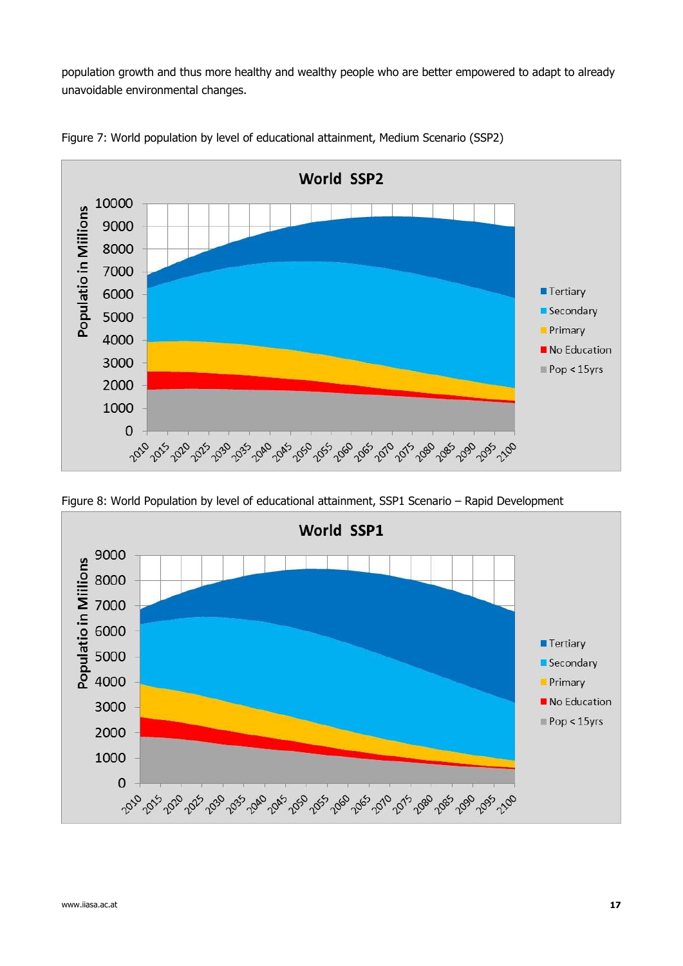population growth and thus more healthy and wealthy people who are better empowered to adapt to already unavoidable environmental changes.



Figure 7: World population by level of educational attainment, Medium Scenario (SSP2)

Figure 8: World Population by level of educational attainment, SSP1 Scenario – Rapid Development

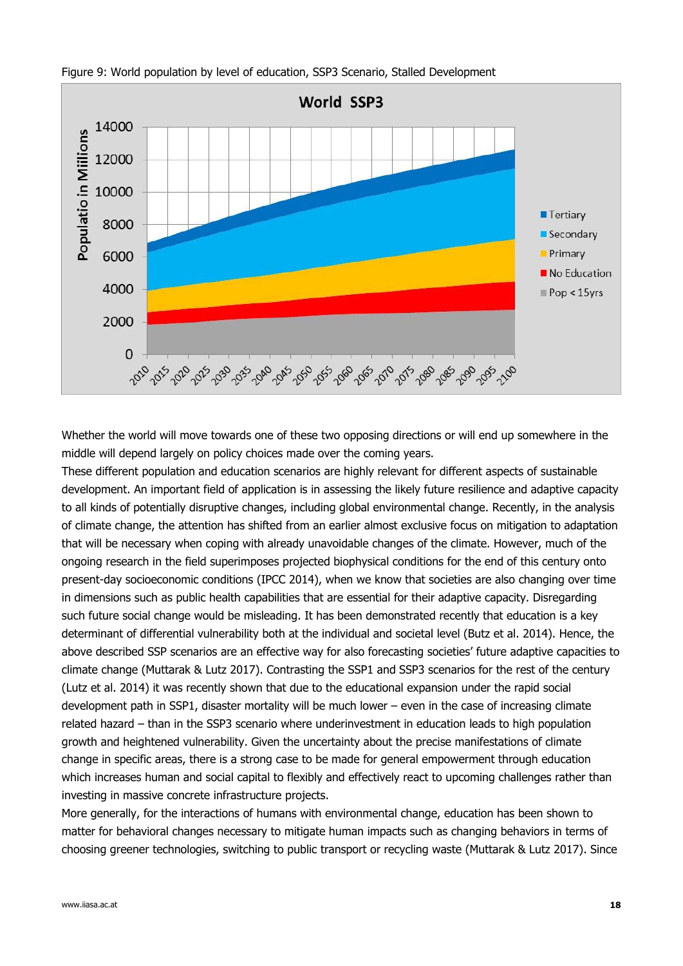

Figure 9: World population by level of education, SSP3 Scenario, Stalled Development

Whether the world will move towards one of these two opposing directions or will end up somewhere in the middle will depend largely on policy choices made over the coming years.

These different population and education scenarios are highly relevant for different aspects of sustainable development. An important field of application is in assessing the likely future resilience and adaptive capacity to all kinds of potentially disruptive changes, including global environmental change. Recently, in the analysis of climate change, the attention has shifted from an earlier almost exclusive focus on mitigation to adaptation that will be necessary when coping with already unavoidable changes of the climate. However, much of the ongoing research in the field superimposes projected biophysical conditions for the end of this century onto present-day socioeconomic conditions (IPCC 2014), when we know that societies are also changing over time in dimensions such as public health capabilities that are essential for their adaptive capacity. Disregarding such future social change would be misleading. It has been demonstrated recently that education is a key determinant of differential vulnerability both at the individual and societal level (Butz et al. 2014). Hence, the above described SSP scenarios are an effective way for also forecasting societies' future adaptive capacities to climate change (Muttarak & Lutz 2017). Contrasting the SSP1 and SSP3 scenarios for the rest of the century (Lutz et al. 2014) it was recently shown that due to the educational expansion under the rapid social development path in SSP1, disaster mortality will be much lower – even in the case of increasing climate related hazard – than in the SSP3 scenario where underinvestment in education leads to high population growth and heightened vulnerability. Given the uncertainty about the precise manifestations of climate change in specific areas, there is a strong case to be made for general empowerment through education which increases human and social capital to flexibly and effectively react to upcoming challenges rather than investing in massive concrete infrastructure projects.

More generally, for the interactions of humans with environmental change, education has been shown to matter for behavioral changes necessary to mitigate human impacts such as changing behaviors in terms of choosing greener technologies, switching to public transport or recycling waste (Muttarak & Lutz 2017). Since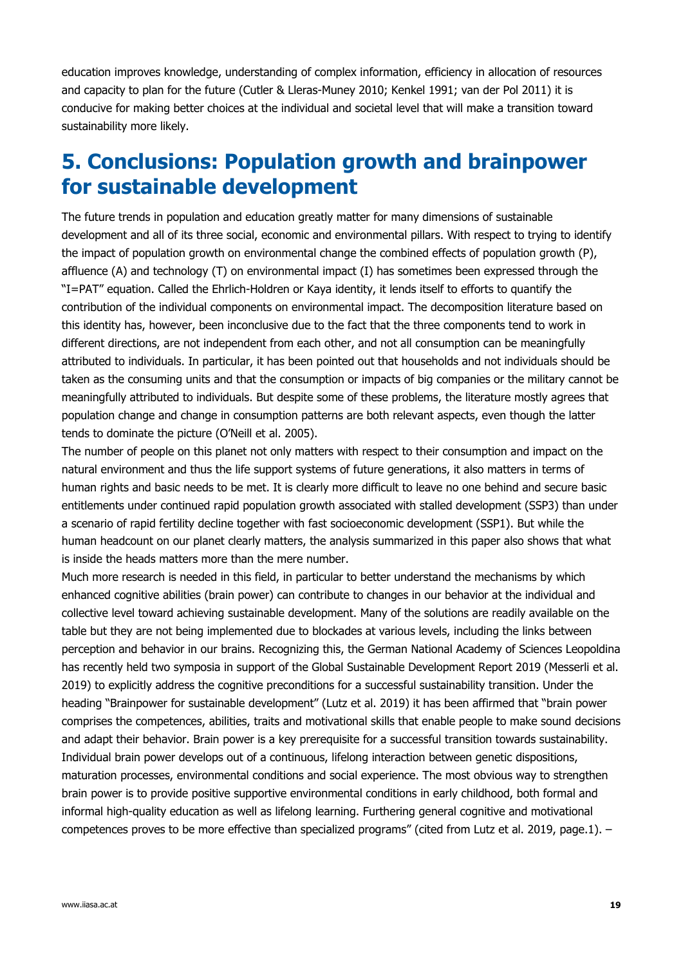education improves knowledge, understanding of complex information, efficiency in allocation of resources and capacity to plan for the future (Cutler & Lleras-Muney 2010; Kenkel 1991; van der Pol 2011) it is conducive for making better choices at the individual and societal level that will make a transition toward sustainability more likely.

# **5. Conclusions: Population growth and brainpower for sustainable development**

The future trends in population and education greatly matter for many dimensions of sustainable development and all of its three social, economic and environmental pillars. With respect to trying to identify the impact of population growth on environmental change the combined effects of population growth (P), affluence (A) and technology (T) on environmental impact (I) has sometimes been expressed through the "I=PAT" equation. Called the Ehrlich-Holdren or Kaya identity, it lends itself to efforts to quantify the contribution of the individual components on environmental impact. The decomposition literature based on this identity has, however, been inconclusive due to the fact that the three components tend to work in different directions, are not independent from each other, and not all consumption can be meaningfully attributed to individuals. In particular, it has been pointed out that households and not individuals should be taken as the consuming units and that the consumption or impacts of big companies or the military cannot be meaningfully attributed to individuals. But despite some of these problems, the literature mostly agrees that population change and change in consumption patterns are both relevant aspects, even though the latter tends to dominate the picture (O'Neill et al. 2005).

The number of people on this planet not only matters with respect to their consumption and impact on the natural environment and thus the life support systems of future generations, it also matters in terms of human rights and basic needs to be met. It is clearly more difficult to leave no one behind and secure basic entitlements under continued rapid population growth associated with stalled development (SSP3) than under a scenario of rapid fertility decline together with fast socioeconomic development (SSP1). But while the human headcount on our planet clearly matters, the analysis summarized in this paper also shows that what is inside the heads matters more than the mere number.

Much more research is needed in this field, in particular to better understand the mechanisms by which enhanced cognitive abilities (brain power) can contribute to changes in our behavior at the individual and collective level toward achieving sustainable development. Many of the solutions are readily available on the table but they are not being implemented due to blockades at various levels, including the links between perception and behavior in our brains. Recognizing this, the German National Academy of Sciences Leopoldina has recently held two symposia in support of the Global Sustainable Development Report 2019 (Messerli et al. 2019) to explicitly address the cognitive preconditions for a successful sustainability transition. Under the heading "Brainpower for sustainable development" (Lutz et al. 2019) it has been affirmed that "brain power comprises the competences, abilities, traits and motivational skills that enable people to make sound decisions and adapt their behavior. Brain power is a key prerequisite for a successful transition towards sustainability. Individual brain power develops out of a continuous, lifelong interaction between genetic dispositions, maturation processes, environmental conditions and social experience. The most obvious way to strengthen brain power is to provide positive supportive environmental conditions in early childhood, both formal and informal high-quality education as well as lifelong learning. Furthering general cognitive and motivational competences proves to be more effective than specialized programs" (cited from Lutz et al. 2019, page.1). -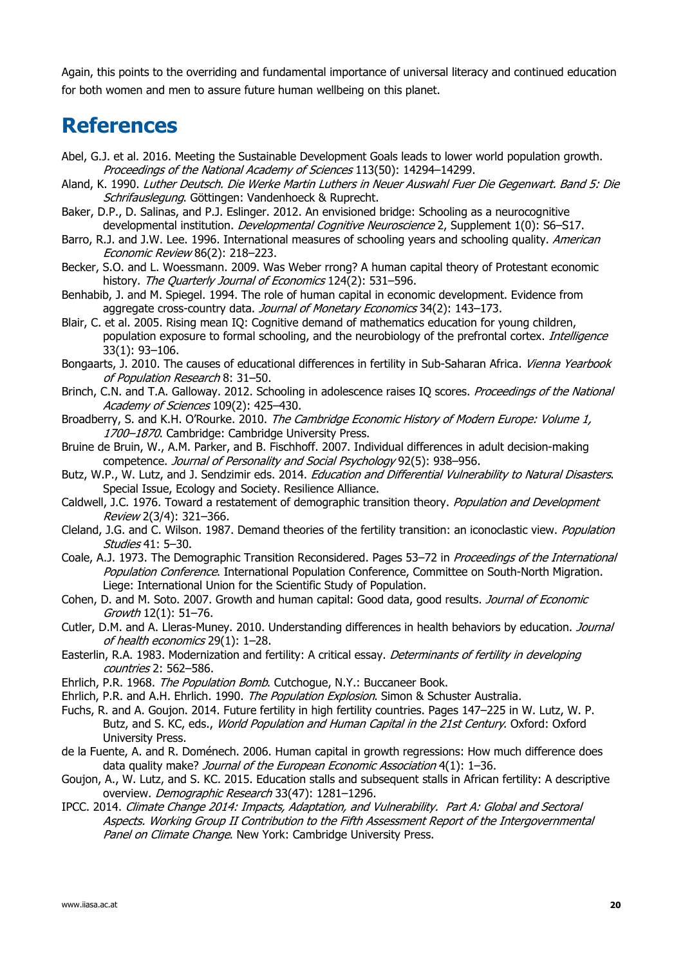Again, this points to the overriding and fundamental importance of universal literacy and continued education for both women and men to assure future human wellbeing on this planet.

## **References**

- Abel, G.J. et al. 2016. Meeting the Sustainable Development Goals leads to lower world population growth. Proceedings of the National Academy of Sciences 113(50): 14294–14299.
- Aland, K. 1990. Luther Deutsch. Die Werke Martin Luthers in Neuer Auswahl Fuer Die Gegenwart. Band 5: Die Schrifauslegung. Göttingen: Vandenhoeck & Ruprecht.
- Baker, D.P., D. Salinas, and P.J. Eslinger. 2012. An envisioned bridge: Schooling as a neurocognitive developmental institution. Developmental Cognitive Neuroscience 2, Supplement 1(0): S6-S17.
- Barro, R.J. and J.W. Lee. 1996. International measures of schooling years and schooling quality. American Economic Review 86(2): 218–223.
- Becker, S.O. and L. Woessmann. 2009. Was Weber rrong? A human capital theory of Protestant economic history. The Quarterly Journal of Economics 124(2): 531-596.
- Benhabib, J. and M. Spiegel. 1994. The role of human capital in economic development. Evidence from aggregate cross-country data. Journal of Monetary Economics 34(2): 143–173.
- Blair, C. et al. 2005. Rising mean IQ: Cognitive demand of mathematics education for young children, population exposure to formal schooling, and the neurobiology of the prefrontal cortex. Intelligence 33(1): 93–106.
- Bongaarts, J. 2010. The causes of educational differences in fertility in Sub-Saharan Africa. Vienna Yearbook of Population Research 8: 31–50.
- Brinch, C.N. and T.A. Galloway. 2012. Schooling in adolescence raises IQ scores. Proceedings of the National Academy of Sciences 109(2): 425-430.
- Broadberry, S. and K.H. O'Rourke. 2010. The Cambridge Economic History of Modern Europe: Volume 1, 1700-1870. Cambridge: Cambridge University Press.
- Bruine de Bruin, W., A.M. Parker, and B. Fischhoff. 2007. Individual differences in adult decision-making competence. Journal of Personality and Social Psychology 92(5): 938–956.
- Butz, W.P., W. Lutz, and J. Sendzimir eds. 2014. Education and Differential Vulnerability to Natural Disasters. Special Issue, Ecology and Society. Resilience Alliance.
- Caldwell, J.C. 1976. Toward a restatement of demographic transition theory. Population and Development Review 2(3/4): 321–366.
- Cleland, J.G. and C. Wilson. 1987. Demand theories of the fertility transition: an iconoclastic view. Population Studies 41: 5–30.
- Coale, A.J. 1973. The Demographic Transition Reconsidered. Pages 53–72 in Proceedings of the International Population Conference. International Population Conference, Committee on South-North Migration. Liege: International Union for the Scientific Study of Population.
- Cohen, D. and M. Soto. 2007. Growth and human capital: Good data, good results. Journal of Economic Growth 12(1): 51–76.
- Cutler, D.M. and A. Lleras-Muney. 2010. Understanding differences in health behaviors by education. *Journal* of health economics 29(1): 1–28.
- Easterlin, R.A. 1983. Modernization and fertility: A critical essay. Determinants of fertility in developing countries 2: 562–586.
- Ehrlich, P.R. 1968. The Population Bomb. Cutchogue, N.Y.: Buccaneer Book.
- Ehrlich, P.R. and A.H. Ehrlich. 1990. The Population Explosion. Simon & Schuster Australia.
- Fuchs, R. and A. Goujon. 2014. Future fertility in high fertility countries. Pages 147–225 in W. Lutz, W. P. Butz, and S. KC, eds., World Population and Human Capital in the 21st Century. Oxford: Oxford University Press.
- de la Fuente, A. and R. Doménech. 2006. Human capital in growth regressions: How much difference does data quality make? Journal of the European Economic Association 4(1): 1-36.
- Goujon, A., W. Lutz, and S. KC. 2015. Education stalls and subsequent stalls in African fertility: A descriptive overview. Demographic Research 33(47): 1281-1296.
- IPCC. 2014. Climate Change 2014: Impacts, Adaptation, and Vulnerability. Part A: Global and Sectoral Aspects. Working Group II Contribution to the Fifth Assessment Report of the Intergovernmental Panel on Climate Change. New York: Cambridge University Press.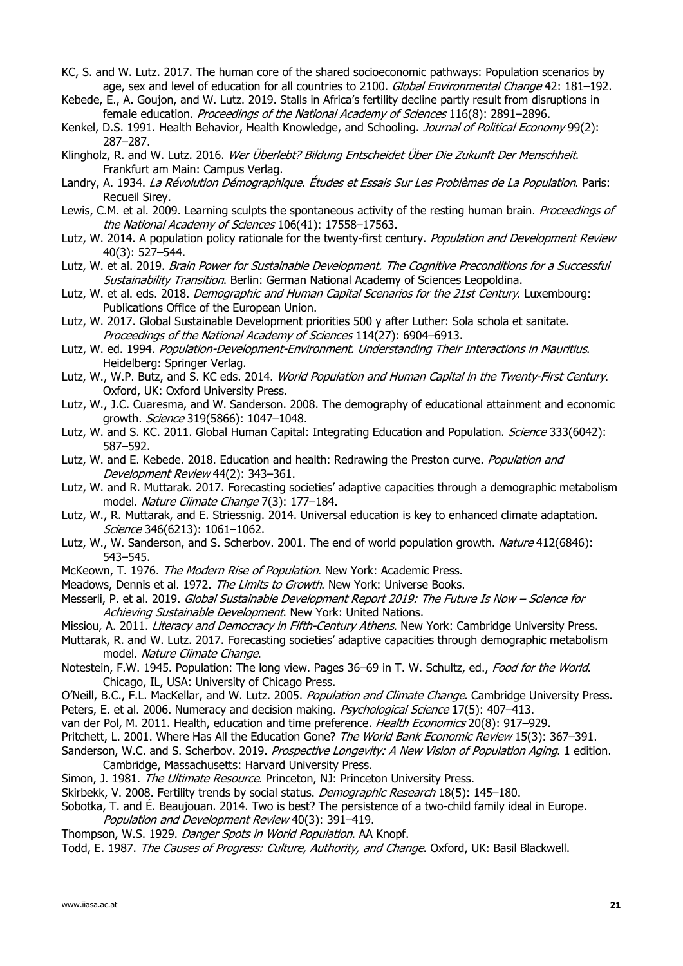- KC, S. and W. Lutz. 2017. The human core of the shared socioeconomic pathways: Population scenarios by age, sex and level of education for all countries to 2100. Global Environmental Change 42: 181-192.
- Kebede, E., A. Goujon, and W. Lutz. 2019. Stalls in Africa's fertility decline partly result from disruptions in female education. Proceedings of the National Academy of Sciences 116(8): 2891-2896.
- Kenkel, D.S. 1991. Health Behavior, Health Knowledge, and Schooling. Journal of Political Economy 99(2): 287–287.
- Klingholz, R. and W. Lutz. 2016. Wer Überlebt? Bildung Entscheidet Über Die Zukunft Der Menschheit. Frankfurt am Main: Campus Verlag.
- Landry, A. 1934. La Révolution Démographique. Études et Essais Sur Les Problèmes de La Population. Paris: Recueil Sirey.
- Lewis, C.M. et al. 2009. Learning sculpts the spontaneous activity of the resting human brain. Proceedings of the National Academy of Sciences 106(41): 17558-17563.
- Lutz, W. 2014. A population policy rationale for the twenty-first century. Population and Development Review 40(3): 527–544.
- Lutz, W. et al. 2019. Brain Power for Sustainable Development. The Cognitive Preconditions for a Successful Sustainability Transition. Berlin: German National Academy of Sciences Leopoldina.
- Lutz, W. et al. eds. 2018. Demographic and Human Capital Scenarios for the 21st Century. Luxembourg: Publications Office of the European Union.
- Lutz, W. 2017. Global Sustainable Development priorities 500 y after Luther: Sola schola et sanitate. Proceedings of the National Academy of Sciences 114(27): 6904–6913.
- Lutz, W. ed. 1994. Population-Development-Environment. Understanding Their Interactions in Mauritius. Heidelberg: Springer Verlag.
- Lutz, W., W.P. Butz, and S. KC eds. 2014. World Population and Human Capital in the Twenty-First Century. Oxford, UK: Oxford University Press.
- Lutz, W., J.C. Cuaresma, and W. Sanderson. 2008. The demography of educational attainment and economic arowth. *Science* 319(5866): 1047-1048.
- Lutz, W. and S. KC. 2011. Global Human Capital: Integrating Education and Population. Science 333(6042): 587–592.
- Lutz, W. and E. Kebede. 2018. Education and health: Redrawing the Preston curve. Population and Development Review 44(2): 343–361.
- Lutz, W. and R. Muttarak. 2017. Forecasting societies' adaptive capacities through a demographic metabolism model. Nature Climate Change 7(3): 177–184.
- Lutz, W., R. Muttarak, and E. Striessnig. 2014. Universal education is key to enhanced climate adaptation. Science 346(6213): 1061-1062.
- Lutz, W., W. Sanderson, and S. Scherbov. 2001. The end of world population growth. Nature 412(6846): 543–545.
- McKeown, T. 1976. The Modern Rise of Population. New York: Academic Press.
- Meadows, Dennis et al. 1972. The Limits to Growth. New York: Universe Books.
- Messerli, P. et al. 2019. Global Sustainable Development Report 2019: The Future Is Now Science for Achieving Sustainable Development. New York: United Nations.
- Missiou, A. 2011. Literacy and Democracy in Fifth-Century Athens. New York: Cambridge University Press.
- Muttarak, R. and W. Lutz. 2017. Forecasting societies' adaptive capacities through demographic metabolism model. Nature Climate Change.
- Notestein, F.W. 1945. Population: The long view. Pages 36–69 in T. W. Schultz, ed., Food for the World. Chicago, IL, USA: University of Chicago Press.
- O'Neill, B.C., F.L. MacKellar, and W. Lutz. 2005. Population and Climate Change. Cambridge University Press. Peters, E. et al. 2006. Numeracy and decision making. Psychological Science 17(5): 407-413.
- van der Pol, M. 2011. Health, education and time preference. Health Economics 20(8): 917-929.
- Pritchett, L. 2001. Where Has All the Education Gone? The World Bank Economic Review 15(3): 367-391.
- Sanderson, W.C. and S. Scherbov. 2019. Prospective Longevity: A New Vision of Population Aging. 1 edition. Cambridge, Massachusetts: Harvard University Press.
- Simon, J. 1981. The Ultimate Resource. Princeton, NJ: Princeton University Press.
- Skirbekk, V. 2008. Fertility trends by social status. *Demographic Research* 18(5): 145–180.
- Sobotka, T. and É. Beaujouan. 2014. Two is best? The persistence of a two-child family ideal in Europe. Population and Development Review 40(3): 391–419.
- Thompson, W.S. 1929. Danger Spots in World Population. AA Knopf.
- Todd, E. 1987. The Causes of Progress: Culture, Authority, and Change. Oxford, UK: Basil Blackwell.